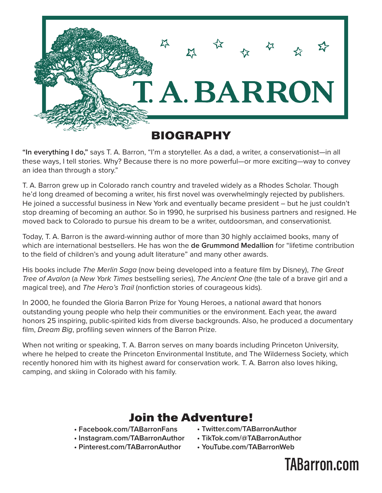

**"In everything I do,"** says T. A. Barron, "I'm a storyteller. As a dad, a writer, a conservationist—in all these ways, I tell stories. Why? Because there is no more powerful—or more exciting—way to convey an idea than through a story."

T. A. Barron grew up in Colorado ranch country and traveled widely as a Rhodes Scholar. Though he'd long dreamed of becoming a writer, his first novel was overwhelmingly rejected by publishers. He joined a successful business in New York and eventually became president – but he just couldn't stop dreaming of becoming an author. So in 1990, he surprised his business partners and resigned. He moved back to Colorado to pursue his dream to be a writer, outdoorsman, and conservationist.

Today, T. A. Barron is the award-winning author of more than 30 highly acclaimed books, many of which are international bestsellers. He has won the **de Grummond Medallion** for "lifetime contribution to the field of children's and young adult literature" and many other awards.

His books include *The Merlin Saga* (now being developed into a feature film by Disney), *The Great Tree of Avalon* (a *New York Times* bestselling series), *The Ancient One* (the tale of a brave girl and a magical tree), and *The Hero's Trail* (nonfiction stories of courageous kids).

In 2000, he founded the Gloria Barron Prize for Young Heroes, a national award that honors outstanding young people who help their communities or the environment. Each year, the award honors 25 inspiring, public-spirited kids from diverse backgrounds. Also, he produced a documentary film, *Dream Big*, profiling seven winners of the Barron Prize.

When not writing or speaking, T. A. Barron serves on many boards including Princeton University, where he helped to create the Princeton Environmental Institute, and The Wilderness Society, which recently honored him with its highest award for conservation work. T. A. Barron also loves hiking, camping, and skiing in Colorado with his family.

## Join the Adventure!

- **Facebook.com/TABarronFans**
- **Instagram.com/TABarronAuthor**
- **Twitter.com/TABarronAuthor • TikTok.com/@TABarronAuthor**
- **Pinterest.com/TABarronAuthor**
- **YouTube.com/TABarronWeb**